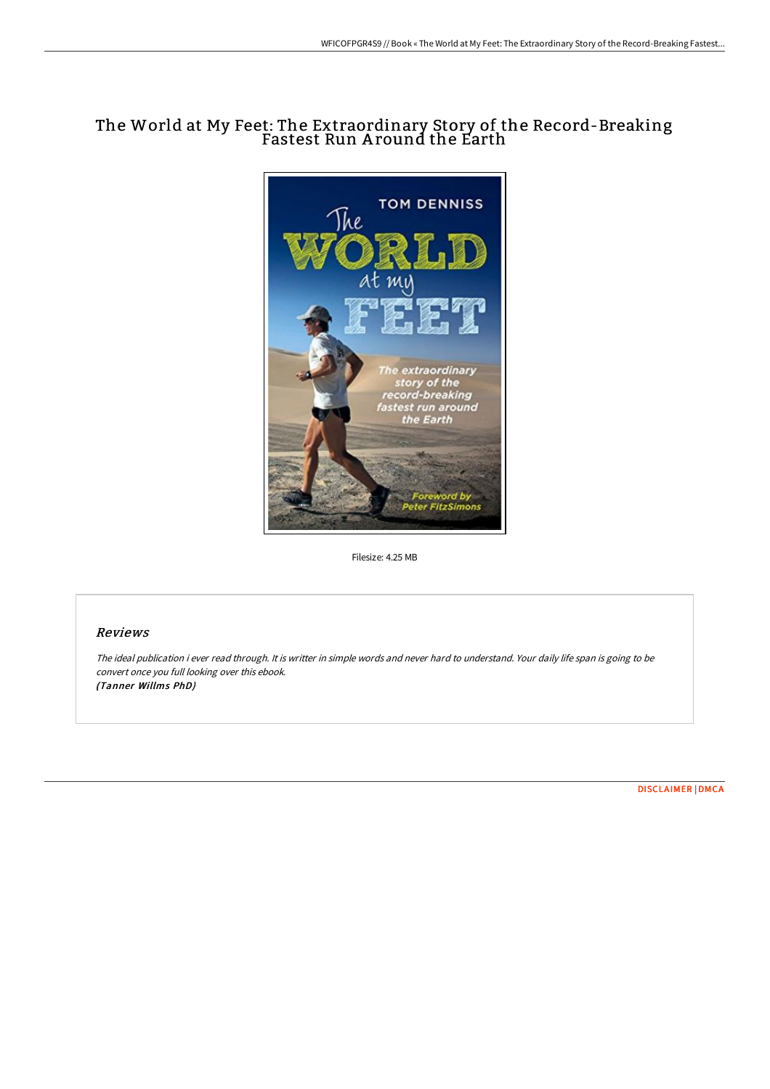## The World at My Feet: The Extraordinary Story of the Record-Breaking Fastest Run A round the Earth



Filesize: 4.25 MB

### Reviews

The ideal publication i ever read through. It is writter in simple words and never hard to understand. Your daily life span is going to be convert once you full looking over this ebook. (Tanner Willms PhD)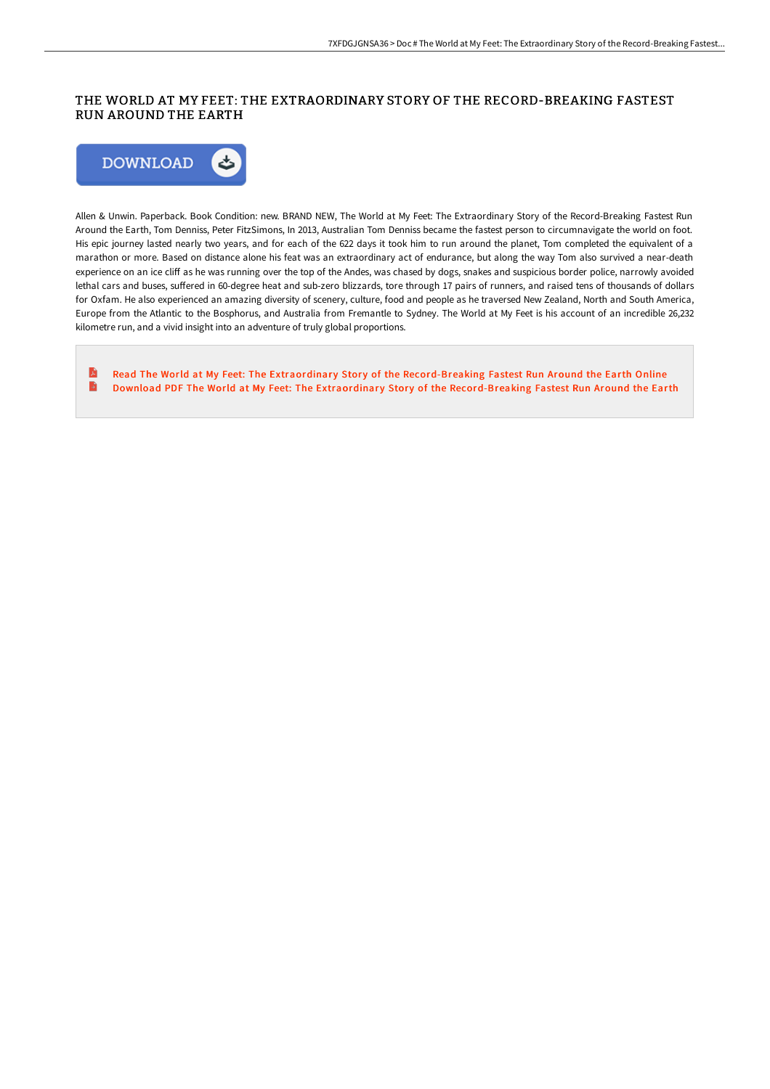## THE WORLD AT MY FEET: THE EXTRAORDINARY STORY OF THE RECORD-BREAKING FASTEST RUN AROUND THE EARTH



Allen & Unwin. Paperback. Book Condition: new. BRAND NEW, The World at My Feet: The Extraordinary Story of the Record-Breaking Fastest Run Around the Earth, Tom Denniss, Peter FitzSimons, In 2013, Australian Tom Denniss became the fastest person to circumnavigate the world on foot. His epic journey lasted nearly two years, and for each of the 622 days it took him to run around the planet, Tom completed the equivalent of a marathon or more. Based on distance alone his feat was an extraordinary act of endurance, but along the way Tom also survived a near-death experience on an ice cliff as he was running over the top of the Andes, was chased by dogs, snakes and suspicious border police, narrowly avoided lethal cars and buses, suffered in 60-degree heat and sub-zero blizzards, tore through 17 pairs of runners, and raised tens of thousands of dollars for Oxfam. He also experienced an amazing diversity of scenery, culture, food and people as he traversed New Zealand, North and South America, Europe from the Atlantic to the Bosphorus, and Australia from Fremantle to Sydney. The World at My Feet is his account of an incredible 26,232 kilometre run, and a vivid insight into an adventure of truly global proportions.

E Read The World at My Feet: The Extraordinary Story of the [Record-Breaking](http://albedo.media/the-world-at-my-feet-the-extraordinary-story-of-.html) Fastest Run Around the Earth Online  $\blacksquare$ Download PDF The World at My Feet: The Extraordinary Story of the [Record-Breaking](http://albedo.media/the-world-at-my-feet-the-extraordinary-story-of-.html) Fastest Run Around the Earth